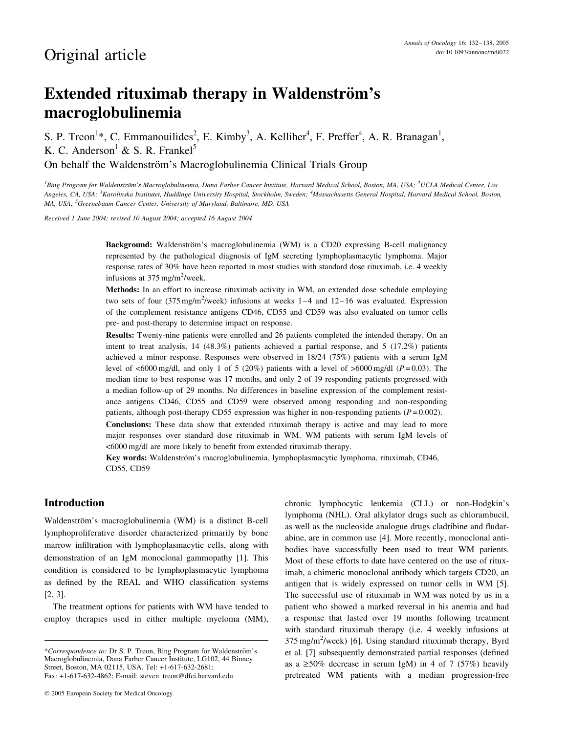# Extended rituximab therapy in Waldenström's macroglobulinemia

S. P. Treon<sup>1</sup>\*, C. Emmanouilides<sup>2</sup>, E. Kimby<sup>3</sup>, A. Kelliher<sup>4</sup>, F. Preffer<sup>4</sup>, A. R. Branagan<sup>1</sup>, K. C. Anderson<sup>1</sup> & S. R. Frankel<sup>5</sup> On behalf the Waldenström's Macroglobulinemia Clinical Trials Group

<sup>1</sup>Bing Program for Waldenström's Macroglobulinemia, Dana Farber Cancer Institute, Harvard Medical School, Boston, MA, USA; <sup>2</sup>UCLA Medical Center, Los Angeles, CA, USA; <sup>3</sup>Karolinska Institutet, Huddinge University Hospital, Stockholm, Sweden; <sup>4</sup>Massachusetts General Hospital, Harvard Medical School, Boston, MA, USA; <sup>5</sup>Greenebaum Cancer Center, University of Maryland, Baltimore, MD, USA

Received 1 June 2004; revised 10 August 2004; accepted 16 August 2004

Background: Waldenström's macroglobulinemia (WM) is a CD20 expressing B-cell malignancy represented by the pathological diagnosis of IgM secreting lymphoplasmacytic lymphoma. Major response rates of 30% have been reported in most studies with standard dose rituximab, i.e. 4 weekly infusions at  $375 \text{ mg/m}^2$ /week.

Methods: In an effort to increase rituximab activity in WM, an extended dose schedule employing two sets of four (375 mg/m<sup>2</sup>/week) infusions at weeks  $1-4$  and  $12-16$  was evaluated. Expression of the complement resistance antigens CD46, CD55 and CD59 was also evaluated on tumor cells pre- and post-therapy to determine impact on response.

Results: Twenty-nine patients were enrolled and 26 patients completed the intended therapy. On an intent to treat analysis, 14 (48.3%) patients achieved a partial response, and 5 (17.2%) patients achieved a minor response. Responses were observed in 18/24 (75%) patients with a serum IgM level of  $<6000 \text{ mg/dl}$ , and only 1 of 5 (20%) patients with a level of  $>6000 \text{ mg/dl}$  ( $P = 0.03$ ). The median time to best response was 17 months, and only 2 of 19 responding patients progressed with a median follow-up of 29 months. No differences in baseline expression of the complement resistance antigens CD46, CD55 and CD59 were observed among responding and non-responding patients, although post-therapy CD55 expression was higher in non-responding patients ( $P = 0.002$ ).

Conclusions: These data show that extended rituximab therapy is active and may lead to more major responses over standard dose rituximab in WM. WM patients with serum IgM levels of <6000 mg/dl are more likely to benefit from extended rituximab therapy.

Key words: Waldenström's macroglobulinemia, lymphoplasmacytic lymphoma, rituximab, CD46, CD55, CD59

# Introduction

Waldenström's macroglobulinemia (WM) is a distinct B-cell lymphoproliferative disorder characterized primarily by bone marrow infiltration with lymphoplasmacytic cells, along with demonstration of an IgM monoclonal gammopathy [1]. This condition is considered to be lymphoplasmacytic lymphoma as defined by the REAL and WHO classification systems [2, 3].

The treatment options for patients with WM have tended to employ therapies used in either multiple myeloma (MM),

chronic lymphocytic leukemia (CLL) or non-Hodgkin's lymphoma (NHL). Oral alkylator drugs such as chlorambucil, as well as the nucleoside analogue drugs cladribine and fludarabine, are in common use [4]. More recently, monoclonal antibodies have successfully been used to treat WM patients. Most of these efforts to date have centered on the use of rituximab, a chimeric monoclonal antibody which targets CD20, an antigen that is widely expressed on tumor cells in WM [5]. The successful use of rituximab in WM was noted by us in a patient who showed a marked reversal in his anemia and had a response that lasted over 19 months following treatment with standard rituximab therapy (i.e. 4 weekly infusions at 375 mg/m<sup>2</sup>/week) [6]. Using standard rituximab therapy, Byrd et al. [7] subsequently demonstrated partial responses (defined as a  $\geq$ 50% decrease in serum IgM) in 4 of 7 (57%) heavily pretreated WM patients with a median progression-free

<sup>\*</sup>Correspondence to: Dr S. P. Treon, Bing Program for Waldenström's Macroglobulinemia, Dana Farber Cancer Institute, LG102, 44 Binney Street, Boston, MA 02115, USA. Tel: +1-617-632-2681; Fax: +1-617-632-4862; E-mail: steven\_treon@dfci.harvard.edu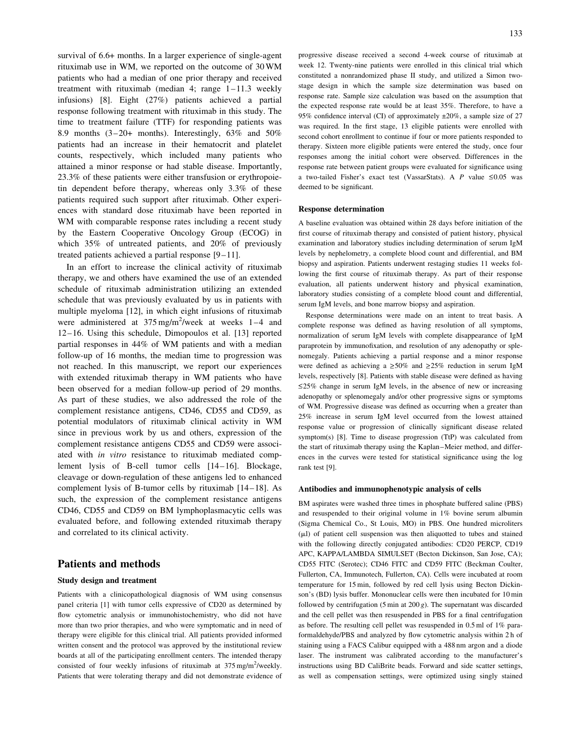survival of 6.6+ months. In a larger experience of single-agent rituximab use in WM, we reported on the outcome of 30 WM patients who had a median of one prior therapy and received treatment with rituximab (median 4; range 1–11.3 weekly infusions) [8]. Eight (27%) patients achieved a partial response following treatment with rituximab in this study. The time to treatment failure (TTF) for responding patients was 8.9 months (3–20+ months). Interestingly, 63% and 50% patients had an increase in their hematocrit and platelet counts, respectively, which included many patients who attained a minor response or had stable disease. Importantly, 23.3% of these patients were either transfusion or erythropoietin dependent before therapy, whereas only 3.3% of these patients required such support after rituximab. Other experiences with standard dose rituximab have been reported in WM with comparable response rates including a recent study by the Eastern Cooperative Oncology Group (ECOG) in which 35% of untreated patients, and 20% of previously treated patients achieved a partial response [9–11].

In an effort to increase the clinical activity of rituximab therapy, we and others have examined the use of an extended schedule of rituximab administration utilizing an extended schedule that was previously evaluated by us in patients with multiple myeloma [12], in which eight infusions of rituximab were administered at  $375 \text{ mg/m}^2$ /week at weeks 1–4 and 12–16. Using this schedule, Dimopoulos et al. [13] reported partial responses in 44% of WM patients and with a median follow-up of 16 months, the median time to progression was not reached. In this manuscript, we report our experiences with extended rituximab therapy in WM patients who have been observed for a median follow-up period of 29 months. As part of these studies, we also addressed the role of the complement resistance antigens, CD46, CD55 and CD59, as potential modulators of rituximab clinical activity in WM since in previous work by us and others, expression of the complement resistance antigens CD55 and CD59 were associated with in vitro resistance to rituximab mediated complement lysis of B-cell tumor cells [14–16]. Blockage, cleavage or down-regulation of these antigens led to enhanced complement lysis of B-tumor cells by rituximab [14–18]. As such, the expression of the complement resistance antigens CD46, CD55 and CD59 on BM lymphoplasmacytic cells was evaluated before, and following extended rituximab therapy and correlated to its clinical activity.

# Patients and methods

#### Study design and treatment

Patients with a clinicopathological diagnosis of WM using consensus panel criteria [1] with tumor cells expressive of CD20 as determined by flow cytometric analysis or immunohistochemistry, who did not have more than two prior therapies, and who were symptomatic and in need of therapy were eligible for this clinical trial. All patients provided informed written consent and the protocol was approved by the institutional review boards at all of the participating enrollment centers. The intended therapy consisted of four weekly infusions of rituximab at  $375 \text{ mg/m}^2$ /weekly. Patients that were tolerating therapy and did not demonstrate evidence of progressive disease received a second 4-week course of rituximab at week 12. Twenty-nine patients were enrolled in this clinical trial which constituted a nonrandomized phase II study, and utilized a Simon twostage design in which the sample size determination was based on response rate. Sample size calculation was based on the assumption that the expected response rate would be at least 35%. Therefore, to have a 95% confidence interval (CI) of approximately  $\pm 20$ %, a sample size of 27 was required. In the first stage, 13 eligible patients were enrolled with second cohort enrollment to continue if four or more patients responded to therapy. Sixteen more eligible patients were entered the study, once four responses among the initial cohort were observed. Differences in the response rate between patient groups were evaluated for significance using a two-tailed Fisher's exact test (VassarStats). A P value  $\leq 0.05$  was deemed to be significant.

#### Response determination

A baseline evaluation was obtained within 28 days before initiation of the first course of rituximab therapy and consisted of patient history, physical examination and laboratory studies including determination of serum IgM levels by nephelometry, a complete blood count and differential, and BM biopsy and aspiration. Patients underwent restaging studies 11 weeks following the first course of rituximab therapy. As part of their response evaluation, all patients underwent history and physical examination, laboratory studies consisting of a complete blood count and differential, serum IgM levels, and bone marrow biopsy and aspiration.

Response determinations were made on an intent to treat basis. A complete response was defined as having resolution of all symptoms, normalization of serum IgM levels with complete disappearance of IgM paraprotein by immunofixation, and resolution of any adenopathy or splenomegaly. Patients achieving a partial response and a minor response were defined as achieving a  $\geq 50\%$  and  $\geq 25\%$  reduction in serum IgM levels, respectively [8]. Patients with stable disease were defined as having  $\leq$ 25% change in serum IgM levels, in the absence of new or increasing adenopathy or splenomegaly and/or other progressive signs or symptoms of WM. Progressive disease was defined as occurring when a greater than 25% increase in serum IgM level occurred from the lowest attained response value or progression of clinically significant disease related symptom(s) [8]. Time to disease progression (TtP) was calculated from the start of rituximab therapy using the Kaplan–Meier method, and differences in the curves were tested for statistical significance using the log rank test [9].

#### Antibodies and immunophenotypic analysis of cells

BM aspirates were washed three times in phosphate buffered saline (PBS) and resuspended to their original volume in 1% bovine serum albumin (Sigma Chemical Co., St Louis, MO) in PBS. One hundred microliters  $(\mu l)$  of patient cell suspension was then aliquotted to tubes and stained with the following directly conjugated antibodies: CD20 PERCP, CD19 APC, KAPPA/LAMBDA SIMULSET (Becton Dickinson, San Jose, CA); CD55 FITC (Serotec); CD46 FITC and CD59 FITC (Beckman Coulter, Fullerton, CA, Immunotech, Fullerton, CA). Cells were incubated at room temperature for 15 min, followed by red cell lysis using Becton Dickinson's (BD) lysis buffer. Mononuclear cells were then incubated for 10 min followed by centrifugation  $(5 \text{ min at } 200 \text{ g})$ . The supernatant was discarded and the cell pellet was then resuspended in PBS for a final centrifugation as before. The resulting cell pellet was resuspended in 0.5 ml of 1% paraformaldehyde/PBS and analyzed by flow cytometric analysis within 2 h of staining using a FACS Calibur equipped with a 488 nm argon and a diode laser. The instrument was calibrated according to the manufacturer's instructions using BD CaliBrite beads. Forward and side scatter settings, as well as compensation settings, were optimized using singly stained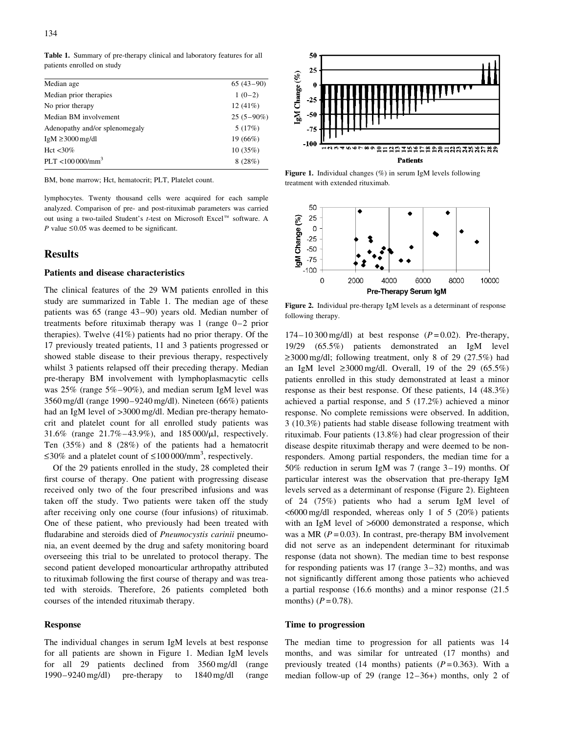Table 1. Summary of pre-therapy clinical and laboratory features for all patients enrolled on study

| Median age                     | $65(43-90)$  |
|--------------------------------|--------------|
| Median prior therapies         | $1(0-2)$     |
| No prior therapy               | 12(41%)      |
| Median BM involvement          | $25(5-90\%)$ |
| Adenopathy and/or splenomegaly | 5(17%)       |
| $IgM \geq 3000$ mg/dl          | 19 (66%)     |
| Hct $\langle 30\%$             | 10(35%)      |
| PLT < 100000 / mm <sup>3</sup> | 8(28%)       |
|                                |              |

BM, bone marrow; Hct, hematocrit; PLT, Platelet count.

lymphocytes. Twenty thousand cells were acquired for each sample analyzed. Comparison of pre- and post-rituximab parameters was carried out using a two-tailed Student's t-test on Microsoft Excel<sup>™</sup> software. A P value  $\leq 0.05$  was deemed to be significant.

## Results

#### Patients and disease characteristics

The clinical features of the 29 WM patients enrolled in this study are summarized in Table 1. The median age of these patients was 65 (range 43–90) years old. Median number of treatments before rituximab therapy was 1 (range 0–2 prior therapies). Twelve (41%) patients had no prior therapy. Of the 17 previously treated patients, 11 and 3 patients progressed or showed stable disease to their previous therapy, respectively whilst 3 patients relapsed off their preceding therapy. Median pre-therapy BM involvement with lymphoplasmacytic cells was 25% (range 5%–90%), and median serum IgM level was 3560 mg/dl (range 1990–9240 mg/dl). Nineteen (66%) patients had an IgM level of >3000 mg/dl. Median pre-therapy hematocrit and platelet count for all enrolled study patients was 31.6% (range  $21.7\% - 43.9\%$ ), and  $185\,000/\mu$ , respectively. Ten (35%) and 8 (28%) of the patients had a hematocrit  $\leq$ 30% and a platelet count of  $\leq$ 100 000/mm<sup>3</sup>, respectively.

Of the 29 patients enrolled in the study, 28 completed their first course of therapy. One patient with progressing disease received only two of the four prescribed infusions and was taken off the study. Two patients were taken off the study after receiving only one course (four infusions) of rituximab. One of these patient, who previously had been treated with fludarabine and steroids died of Pneumocystis carinii pneumonia, an event deemed by the drug and safety monitoring board overseeing this trial to be unrelated to protocol therapy. The second patient developed monoarticular arthropathy attributed to rituximab following the first course of therapy and was treated with steroids. Therefore, 26 patients completed both courses of the intended rituximab therapy.

#### Response

The individual changes in serum IgM levels at best response for all patients are shown in Figure 1. Median IgM levels for all 29 patients declined from 3560 mg/dl (range 1990–9240 mg/dl) pre-therapy to 1840 mg/dl (range



Figure 1. Individual changes (%) in serum IgM levels following treatment with extended rituximab.



Figure 2. Individual pre-therapy IgM levels as a determinant of response following therapy.

 $174-10300$  mg/dl) at best response  $(P=0.02)$ . Pre-therapy, 19/29 (65.5%) patients demonstrated an IgM level >\_3000 mg/dl; following treatment, only 8 of 29 (27.5%) had an IgM level  $\geq 3000 \text{ mg/dl}$ . Overall, 19 of the 29 (65.5%) patients enrolled in this study demonstrated at least a minor response as their best response. Of these patients, 14 (48.3%) achieved a partial response, and 5 (17.2%) achieved a minor response. No complete remissions were observed. In addition, 3 (10.3%) patients had stable disease following treatment with rituximab. Four patients (13.8%) had clear progression of their disease despite rituximab therapy and were deemed to be nonresponders. Among partial responders, the median time for a 50% reduction in serum IgM was 7 (range 3–19) months. Of particular interest was the observation that pre-therapy IgM levels served as a determinant of response (Figure 2). Eighteen of 24 (75%) patients who had a serum IgM level of <6000 mg/dl responded, whereas only 1 of 5 (20%) patients with an IgM level of >6000 demonstrated a response, which was a MR ( $P = 0.03$ ). In contrast, pre-therapy BM involvement did not serve as an independent determinant for rituximab response (data not shown). The median time to best response for responding patients was 17 (range 3–32) months, and was not significantly different among those patients who achieved a partial response (16.6 months) and a minor response (21.5 months)  $(P = 0.78)$ .

#### Time to progression

The median time to progression for all patients was 14 months, and was similar for untreated (17 months) and previously treated (14 months) patients  $(P=0.363)$ . With a median follow-up of 29 (range 12–36+) months, only 2 of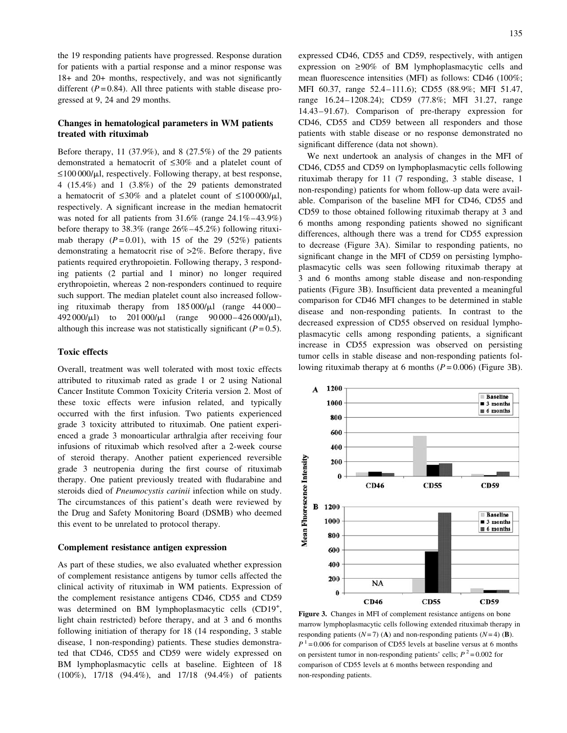the 19 responding patients have progressed. Response duration for patients with a partial response and a minor response was 18+ and 20+ months, respectively, and was not significantly different  $(P = 0.84)$ . All three patients with stable disease progressed at 9, 24 and 29 months.

## Changes in hematological parameters in WM patients treated with rituximab

Before therapy, 11 (37.9%), and 8 (27.5%) of the 29 patients demonstrated a hematocrit of  $\leq 30\%$  and a platelet count of  $\leq$ 100 000/ $\mu$ l, respectively. Following therapy, at best response, 4 (15.4%) and 1 (3.8%) of the 29 patients demonstrated a hematocrit of  $\leq 30\%$  and a platelet count of  $\leq 100\,000/\mu$ . respectively. A significant increase in the median hematocrit was noted for all patients from 31.6% (range 24.1%–43.9%) before therapy to 38.3% (range 26%–45.2%) following rituximab therapy  $(P=0.01)$ , with 15 of the 29 (52%) patients demonstrating a hematocrit rise of >2%. Before therapy, five patients required erythropoietin. Following therapy, 3 responding patients (2 partial and 1 minor) no longer required erythropoietin, whereas 2 non-responders continued to require such support. The median platelet count also increased following rituximab therapy from  $185\,000/\mu$ l (range 44000– 492 000/ $\mu$ l) to 201 000/ $\mu$ l (range 90 000–426 000/ $\mu$ l), although this increase was not statistically significant ( $P = 0.5$ ).

### Toxic effects

Overall, treatment was well tolerated with most toxic effects attributed to rituximab rated as grade 1 or 2 using National Cancer Institute Common Toxicity Criteria version 2. Most of these toxic effects were infusion related, and typically occurred with the first infusion. Two patients experienced grade 3 toxicity attributed to rituximab. One patient experienced a grade 3 monoarticular arthralgia after receiving four infusions of rituximab which resolved after a 2-week course of steroid therapy. Another patient experienced reversible grade 3 neutropenia during the first course of rituximab therapy. One patient previously treated with fludarabine and steroids died of Pneumocystis carinii infection while on study. The circumstances of this patient's death were reviewed by the Drug and Safety Monitoring Board (DSMB) who deemed this event to be unrelated to protocol therapy.

#### Complement resistance antigen expression

As part of these studies, we also evaluated whether expression of complement resistance antigens by tumor cells affected the clinical activity of rituximab in WM patients. Expression of the complement resistance antigens CD46, CD55 and CD59 was determined on BM lymphoplasmacytic cells (CD19<sup>+</sup>, light chain restricted) before therapy, and at 3 and 6 months following initiation of therapy for 18 (14 responding, 3 stable disease, 1 non-responding) patients. These studies demonstrated that CD46, CD55 and CD59 were widely expressed on BM lymphoplasmacytic cells at baseline. Eighteen of 18 (100%), 17/18 (94.4%), and 17/18 (94.4%) of patients expressed CD46, CD55 and CD59, respectively, with antigen expression on  $\geq 90\%$  of BM lymphoplasmacytic cells and mean fluorescence intensities (MFI) as follows: CD46 (100%; MFI 60.37, range 52.4–111.6); CD55 (88.9%; MFI 51.47, range 16.24–1208.24); CD59 (77.8%; MFI 31.27, range 14.43–91.67). Comparison of pre-therapy expression for CD46, CD55 and CD59 between all responders and those patients with stable disease or no response demonstrated no significant difference (data not shown).

We next undertook an analysis of changes in the MFI of CD46, CD55 and CD59 on lymphoplasmacytic cells following rituximab therapy for 11 (7 responding, 3 stable disease, 1 non-responding) patients for whom follow-up data were available. Comparison of the baseline MFI for CD46, CD55 and CD59 to those obtained following rituximab therapy at 3 and 6 months among responding patients showed no significant differences, although there was a trend for CD55 expression to decrease (Figure 3A). Similar to responding patients, no significant change in the MFI of CD59 on persisting lymphoplasmacytic cells was seen following rituximab therapy at 3 and 6 months among stable disease and non-responding patients (Figure 3B). Insufficient data prevented a meaningful comparison for CD46 MFI changes to be determined in stable disease and non-responding patients. In contrast to the decreased expression of CD55 observed on residual lymphoplasmacytic cells among responding patients, a significant increase in CD55 expression was observed on persisting tumor cells in stable disease and non-responding patients following rituximab therapy at 6 months  $(P=0.006)$  (Figure 3B).



Figure 3. Changes in MFI of complement resistance antigens on bone marrow lymphoplasmacytic cells following extended rituximab therapy in responding patients  $(N=7)$  (A) and non-responding patients  $(N=4)$  (B).  $P<sup>1</sup> = 0.006$  for comparison of CD55 levels at baseline versus at 6 months on persistent tumor in non-responding patients' cells;  $P^2 = 0.002$  for comparison of CD55 levels at 6 months between responding and non-responding patients.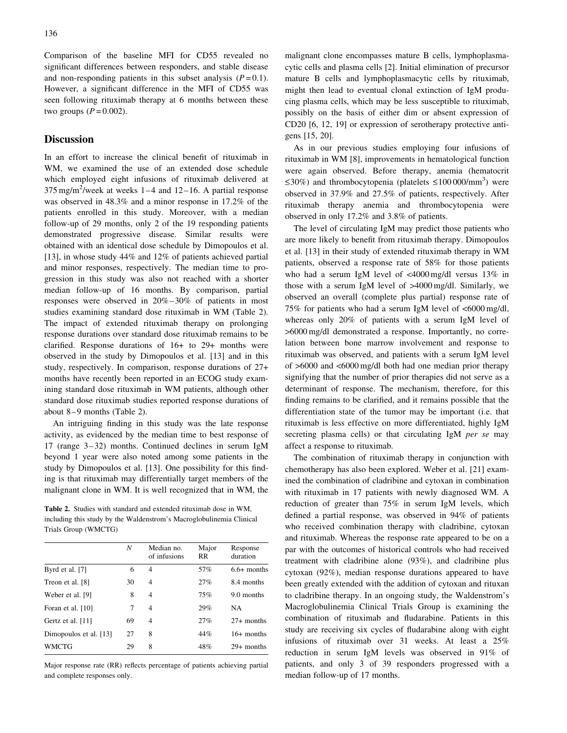Comparison of the baseline MFI for CD55 revealed no significant differences between responders, and stable disease and non-responding patients in this subset analysis  $(P=0.1)$ . However, a significant difference in the MFI of CD55 was seen following rituximab therapy at 6 months between these two groups  $(P=0.002)$ .

# **Discussion**

In an effort to increase the clinical benefit of rituximab in WM, we examined the use of an extended dose schedule which employed eight infusions of rituximab delivered at 375 mg/m<sup>2</sup>/week at weeks  $1-4$  and  $12-16$ . A partial response was observed in 48.3% and a minor response in 17.2% of the patients enrolled in this study. Moreover, with a median follow-up of 29 months, only 2 of the 19 responding patients demonstrated progressive disease. Similar results were obtained with an identical dose schedule by Dimopoulos et al. [13], in whose study 44% and 12% of patients achieved partial and minor responses, respectively. The median time to progression in this study was also not reached with a shorter median follow-up of 16 months. By comparison, partial responses were observed in 20%–30% of patients in most studies examining standard dose rituximab in WM (Table 2). The impact of extended rituximab therapy on prolonging response durations over standard dose rituximab remains to be clarified. Response durations of 16+ to 29+ months were observed in the study by Dimopoulos et al. [13] and in this study, respectively. In comparison, response durations of 27+ months have recently been reported in an ECOG study examining standard dose rituximab in WM patients, although other standard dose rituximab studies reported response durations of about 8–9 months (Table 2).

An intriguing finding in this study was the late response activity, as evidenced by the median time to best response of 17 (range 3–32) months. Continued declines in serum IgM beyond 1 year were also noted among some patients in the study by Dimopoulos et al. [13]. One possibility for this finding is that rituximab may differentially target members of the malignant clone in WM. It is well recognized that in WM, the

Table 2. Studies with standard and extended rituximab dose in WM, including this study by the Waldenstrom's Macroglobulinemia Clinical Trials Group (WMCTG)

|                        | N  | Median no.<br>of infusions | Major<br>RR. | Response<br>duration |
|------------------------|----|----------------------------|--------------|----------------------|
| Byrd et al. [7]        | 6  | 4                          | 57%          | $6.6+$ months        |
| Treon et al. [8]       | 30 | $\overline{4}$             | 27%          | 8.4 months           |
| Weber et al. [9]       | 8  | $\overline{4}$             | 75%          | 9.0 months           |
| Foran et al. [10]      | 7  | $\overline{4}$             | 29%          | NA                   |
| Gertz et al. [11]      | 69 | $\overline{4}$             | 27%          | $27+$ months         |
| Dimopoulos et al. [13] | 27 | 8                          | 44%          | $16+$ months         |
| WMCTG                  | 29 | 8                          | 48%          | $29+$ months         |
|                        |    |                            |              |                      |

Major response rate (RR) reflects percentage of patients achieving partial and complete responses only.

malignant clone encompasses mature B cells, lymphoplasmacytic cells and plasma cells [2]. Initial elimination of precursor mature B cells and lymphoplasmacytic cells by rituximab, might then lead to eventual clonal extinction of IgM producing plasma cells, which may be less susceptible to rituximab, possibly on the basis of either dim or absent expression of CD20 [6, 12, 19] or expression of serotherapy protective antigens [15, 20].

As in our previous studies employing four infusions of rituximab in WM [8], improvements in hematological function were again observed. Before therapy, anemia (hematocrit  $\leq$ 30%) and thrombocytopenia (platelets  $\leq$ 100 000/mm<sup>3</sup>) were observed in 37.9% and 27.5% of patients, respectively. After rituximab therapy anemia and thrombocytopenia were observed in only 17.2% and 3.8% of patients.

The level of circulating IgM may predict those patients who are more likely to benefit from rituximab therapy. Dimopoulos et al. [13] in their study of extended rituximab therapy in WM patients, observed a response rate of 58% for those patients who had a serum IgM level of <4000 mg/dl versus 13% in those with a serum IgM level of >4000 mg/dl. Similarly, we observed an overall (complete plus partial) response rate of 75% for patients who had a serum IgM level of <6000 mg/dl, whereas only 20% of patients with a serum IgM level of >6000 mg/dl demonstrated a response. Importantly, no correlation between bone marrow involvement and response to rituximab was observed, and patients with a serum IgM level of >6000 and <6000 mg/dl both had one median prior therapy signifying that the number of prior therapies did not serve as a determinant of response. The mechanism, therefore, for this finding remains to be clarified, and it remains possible that the differentiation state of the tumor may be important (i.e. that rituximab is less effective on more differentiated, highly IgM secreting plasma cells) or that circulating IgM per se may affect a response to rituximab.

The combination of rituximab therapy in conjunction with chemotherapy has also been explored. Weber et al. [21] examined the combination of cladribine and cytoxan in combination with rituximab in 17 patients with newly diagnosed WM. A reduction of greater than 75% in serum IgM levels, which defined a partial response, was observed in 94% of patients who received combination therapy with cladribine, cytoxan and rituximab. Whereas the response rate appeared to be on a par with the outcomes of historical controls who had received treatment with cladribine alone (93%), and cladribine plus cytoxan (92%), median response durations appeared to have been greatly extended with the addition of cytoxan and rituxan to cladribine therapy. In an ongoing study, the Waldenstrom's Macroglobulinemia Clinical Trials Group is examining the combination of rituximab and fludarabine. Patients in this study are receiving six cycles of fludarabine along with eight infusions of rituximab over 31 weeks. At least a 25% reduction in serum IgM levels was observed in 91% of patients, and only 3 of 39 responders progressed with a median follow-up of 17 months.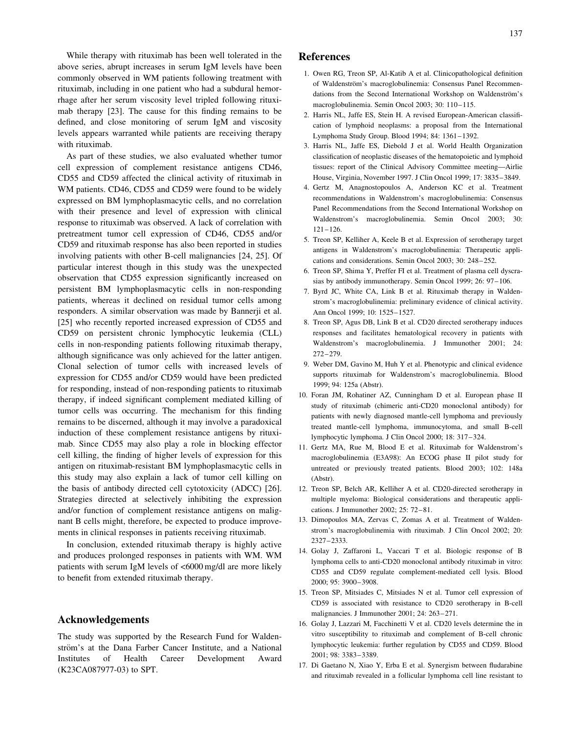While therapy with rituximab has been well tolerated in the above series, abrupt increases in serum IgM levels have been commonly observed in WM patients following treatment with rituximab, including in one patient who had a subdural hemorrhage after her serum viscosity level tripled following rituximab therapy [23]. The cause for this finding remains to be defined, and close monitoring of serum IgM and viscosity levels appears warranted while patients are receiving therapy with rituximab.

As part of these studies, we also evaluated whether tumor cell expression of complement resistance antigens CD46, CD55 and CD59 affected the clinical activity of rituximab in WM patients. CD46, CD55 and CD59 were found to be widely expressed on BM lymphoplasmacytic cells, and no correlation with their presence and level of expression with clinical response to rituximab was observed. A lack of correlation with pretreatment tumor cell expression of CD46, CD55 and/or CD59 and rituximab response has also been reported in studies involving patients with other B-cell malignancies [24, 25]. Of particular interest though in this study was the unexpected observation that CD55 expression significantly increased on persistent BM lymphoplasmacytic cells in non-responding patients, whereas it declined on residual tumor cells among responders. A similar observation was made by Bannerji et al. [25] who recently reported increased expression of CD55 and CD59 on persistent chronic lymphocytic leukemia (CLL) cells in non-responding patients following rituximab therapy, although significance was only achieved for the latter antigen. Clonal selection of tumor cells with increased levels of expression for CD55 and/or CD59 would have been predicted for responding, instead of non-responding patients to rituximab therapy, if indeed significant complement mediated killing of tumor cells was occurring. The mechanism for this finding remains to be discerned, although it may involve a paradoxical induction of these complement resistance antigens by rituximab. Since CD55 may also play a role in blocking effector cell killing, the finding of higher levels of expression for this antigen on rituximab-resistant BM lymphoplasmacytic cells in this study may also explain a lack of tumor cell killing on the basis of antibody directed cell cytotoxicity (ADCC) [26]. Strategies directed at selectively inhibiting the expression and/or function of complement resistance antigens on malignant B cells might, therefore, be expected to produce improvements in clinical responses in patients receiving rituximab.

In conclusion, extended rituximab therapy is highly active and produces prolonged responses in patients with WM. WM patients with serum IgM levels of <6000 mg/dl are more likely to benefit from extended rituximab therapy.

# Acknowledgements

The study was supported by the Research Fund for Waldenström's at the Dana Farber Cancer Institute, and a National Institutes of Health Career Development Award (K23CA087977-03) to SPT.

# References

- 1. Owen RG, Treon SP, Al-Katib A et al. Clinicopathological definition of Waldenström's macroglobulinemia: Consensus Panel Recommendations from the Second International Workshop on Waldenström's macroglobulinemia. Semin Oncol 2003; 30: 110–115.
- 2. Harris NL, Jaffe ES, Stein H. A revised European-American classification of lymphoid neoplasms: a proposal from the International Lymphoma Study Group. Blood 1994; 84: 1361–1392.
- 3. Harris NL, Jaffe ES, Diebold J et al. World Health Organization classification of neoplastic diseases of the hematopoietic and lymphoid tissues: report of the Clinical Advisory Committee meeting—Airlie House, Virginia, November 1997. J Clin Oncol 1999; 17: 3835–3849.
- 4. Gertz M, Anagnostopoulos A, Anderson KC et al. Treatment recommendations in Waldenstrom's macroglobulinemia: Consensus Panel Recommendations from the Second International Workshop on Waldenstrom's macroglobulinemia. Semin Oncol 2003; 30: 121–126.
- 5. Treon SP, Kelliher A, Keele B et al. Expression of serotherapy target antigens in Waldenstrom's macroglobulinemia: Therapeutic applications and considerations. Semin Oncol 2003; 30: 248–252.
- 6. Treon SP, Shima Y, Preffer FI et al. Treatment of plasma cell dyscrasias by antibody immunotherapy. Semin Oncol 1999; 26: 97–106.
- 7. Byrd JC, White CA, Link B et al. Rituximab therapy in Waldenstrom's macroglobulinemia: preliminary evidence of clinical activity. Ann Oncol 1999; 10: 1525–1527.
- 8. Treon SP, Agus DB, Link B et al. CD20 directed serotherapy induces responses and facilitates hematological recovery in patients with Waldenstrom's macroglobulinemia. J Immunother 2001; 24: 272–279.
- 9. Weber DM, Gavino M, Huh Y et al. Phenotypic and clinical evidence supports rituximab for Waldenstrom's macroglobulinemia. Blood 1999; 94: 125a (Abstr).
- 10. Foran JM, Rohatiner AZ, Cunningham D et al. European phase II study of rituximab (chimeric anti-CD20 monoclonal antibody) for patients with newly diagnosed mantle-cell lymphoma and previously treated mantle-cell lymphoma, immunocytoma, and small B-cell lymphocytic lymphoma. J Clin Oncol 2000; 18: 317–324.
- 11. Gertz MA, Rue M, Blood E et al. Rituximab for Waldenstrom's macroglobulinemia (E3A98): An ECOG phase II pilot study for untreated or previously treated patients. Blood 2003; 102: 148a (Abstr).
- 12. Treon SP, Belch AR, Kelliher A et al. CD20-directed serotherapy in multiple myeloma: Biological considerations and therapeutic applications. J Immunother 2002; 25: 72–81.
- 13. Dimopoulos MA, Zervas C, Zomas A et al. Treatment of Waldenstrom's macroglobulinemia with rituximab. J Clin Oncol 2002; 20: 2327–2333.
- 14. Golay J, Zaffaroni L, Vaccari T et al. Biologic response of B lymphoma cells to anti-CD20 monoclonal antibody rituximab in vitro: CD55 and CD59 regulate complement-mediated cell lysis. Blood 2000; 95: 3900–3908.
- 15. Treon SP, Mitsiades C, Mitsiades N et al. Tumor cell expression of CD59 is associated with resistance to CD20 serotherapy in B-cell malignancies. J Immunother 2001; 24: 263–271.
- 16. Golay J, Lazzari M, Facchinetti V et al. CD20 levels determine the in vitro susceptibility to rituximab and complement of B-cell chronic lymphocytic leukemia: further regulation by CD55 and CD59. Blood 2001; 98: 3383–3389.
- 17. Di Gaetano N, Xiao Y, Erba E et al. Synergism between fludarabine and rituximab revealed in a follicular lymphoma cell line resistant to